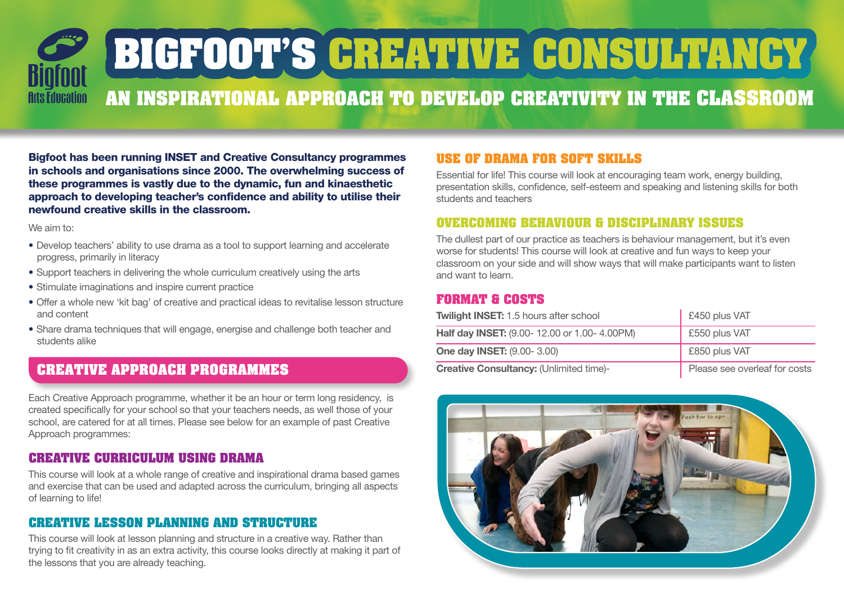# **BIGFOOT'S CREATIVE CONSULTANCY An inspirational approach to develop creativity in the classroom Arts Education**

Bigfoot has been running INSET and Creative Consultancy programmes in schools and organisations since 2000. The overwhelming success of these programmes is vastly due to the dynamic, fun and kinaesthetic approach to developing teacher's confidence and ability to utilise their newfound creative skills in the classroom.

We aim to:

- Develop teachers' ability to use drama as a tool to support learning and accelerate progress, primarily in literacy
- Support teachers in delivering the whole curriculum creatively using the arts
- Stimulate imaginations and inspire current practice
- Offer a whole new 'kit bag' of creative and practical ideas to revitalise lesson structure and content
- Share drama techniques that will engage, energise and challenge both teacher and students alike

# **CREATIVE APPROACH PROGRAMMES**

Each Creative Approach programme, whether it be an hour or term long residency, is created specifically for your school so that your teachers needs, as well those of your school, are catered for at all times. Please see below for an example of past Creative Approach programmes:

## **Creative curriculum using drama**

This course will look at a whole range of creative and inspirational drama based games and exercise that can be used and adapted across the curriculum, bringing all aspects of learning to life!

### **Creative lesson planning and structure**

This course will look at lesson planning and structure in a creative way. Rather than trying to fit creativity in as an extra activity, this course looks directly at making it part of the lessons that you are already teaching.

## **Use of drama for soft skills**

Essential for life! This course will look at encouraging team work, energy building, presentation skills, confidence, self-esteem and speaking and listening skills for both students and teachers

#### **Overcoming behaviour & disciplinary issues**

The dullest part of our practice as teachers is behaviour management, but it's even worse for students! This course will look at creative and fun ways to keep your classroom on your side and will show ways that will make participants want to listen and want to learn.

#### **FORMAT & COSTS**

| <b>Twilight INSET: 1.5 hours after school</b>  | £450 plus VAT                 |
|------------------------------------------------|-------------------------------|
| Half day INSET: (9.00-12.00 or 1.00-4.00PM)    | £550 plus VAT                 |
| <b>One day INSET: (9.00-3.00)</b>              | £850 plus VAT                 |
| <b>Creative Consultancy: (Unlimited time)-</b> | Please see overleaf for costs |